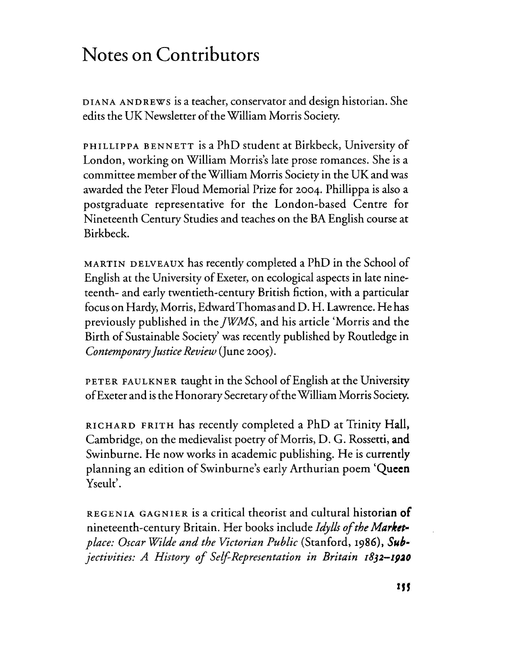## **Notes on Contributors**

DIANA ANDREWS is a teacher, conservator and design historian. She edits the UK Newsletter of the William Morris Society.

PHILLIPPA BENNETT is a PhD student at Birkbeck, University of London, working on William Morris's late prose romances. She is a committee member of the William Morris Society in the UK and was awarded the Peter PIoud Memorial Prize for 2004. Phillippa is also a postgraduate representative for the London-based Centre for Nineteenth Century Studies and teaches on the BA English course at Birkbeck.

MARTIN DELVEAUX has recently completed a PhD in the School of English at the University of Exeter, on ecological aspects in late nineteenth- and early twentieth-century British fiction, with a particular focus on Hardy, Morris, EdwardThomas and D. H. Lawrence. He has previously published in the *jWMS,* and his article 'Morris and the Birth of Sustainable Society' was recently published by Routledge in *Contemporary Justice Review* (June 2005).

PETER FAULKNER taught in the School of English at the University of Exeter and is the Honorary Secretary of the William Morris Society.

RICHARD FRITH has recently completed a PhD at Trinity Hall, Cambridge, on the medievalist poetry of Morris, D. G. Rossetti, and Swinburne. He now works in academic publishing. He is currently planning an edition ofSwinburne's early Arthurian poem **'Queen** Yseult'.

REGENIA GAGNIER is a critical theorist and cultural historian **of** nineteenth-century Britain. Her books include *Idylls of the Marketplace: Oscar Wilde and the Victorian Public* (Stanford, 1986), *Sub· jectivities: A History of Self-Representation in Britain 1832-1920*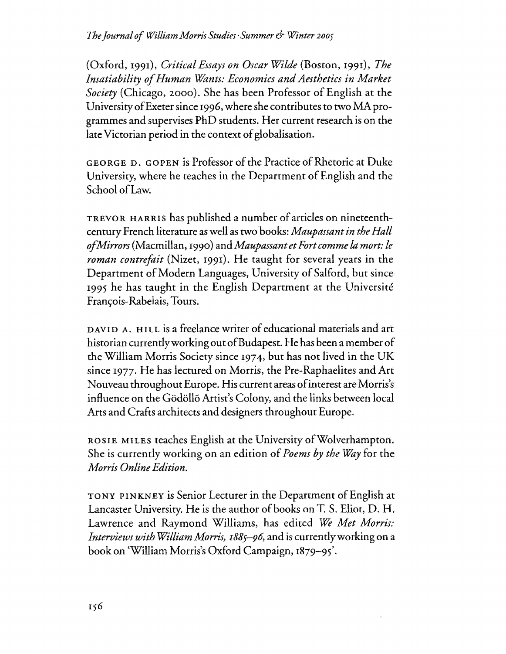(Oxford, 1991), *Critical Essays on Oscar Wilde* (Boston, 1991), *The Insatiability ofHuman Willnts: Economics andAesthetics in Market Society* (Chicago, 2000). She has been Professor of English at the University of Exeter since 1996, where she contributes to two MA programmes and supervises PhD students. Her current research is on the late Victorian period in the context of globalisation.

GEORGE D. GOPEN is Professor of the Practice of Rhetoric at Duke University, where he teaches in the Department of English and the School ofLaw.

TREVOR HARRIS has published a number of articles on nineteenthcentury French literature as well as two books: *Maupassant in the Hall ofMirrors* (Macmillan, 1990) and *Maupassant etFort comme la mort: le roman contrefait* (Nizet, 1991). He taught for several years in the Department of Modern Languages, University of Salford, but since 1995 he has taught in the English Department at the Universite François-Rabelais, Tours.

DAVID A. HILL is a freelahce writer of educational materials and art historian currently working out of Budapest. He has been a member of the William Morris Society since 1974, but has not lived in the UK since 1977. He has lectured on Morris, the Pre-Raphaelites and Art Nouveau throughout Europe. His current areas ofinterest are Morris's influence on the Gödöllő Artist's Colony, and the links between local Arts and Crafts architects and designers throughout Europe.

ROSIE MILES teaches English at the University of Wolverhampton. She is currently working on an edition of *Poems by the Way* for the *Morris OnlineEdition.*

TONY PINKNEY is Senior Lecturer in the Department of English at Lancaster University. He is the author of books on T. S. Eliot, D. H. Lawrence and Raymond Williams, has edited *We Met Morris: Interviews with William Morris, I885-96,* and is currentlyworking on a book on 'William Morris's Oxford Campaign, 1879-95'.